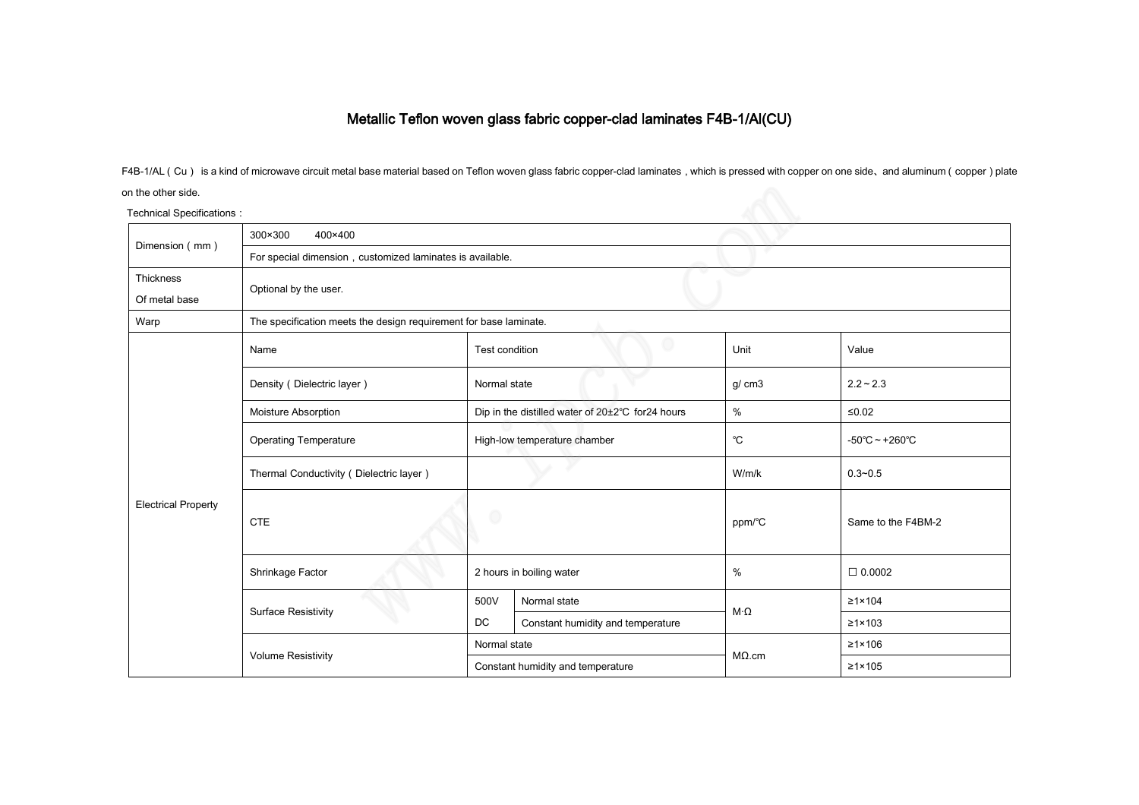## Metallic Teflon woven glass fabric copper-clad laminates F4B-1/Al(CU)

F4B-1/AL (Cu) is a kind of microwave circuit metal base material based on Teflon woven glass fabric copper-clad laminates, which is pressed with copper on one side, and aluminum (copper) plate

## on the other side.

| on the other side.         |                                                                   |                                                  |                                   |                  |                                     |  |  |  |
|----------------------------|-------------------------------------------------------------------|--------------------------------------------------|-----------------------------------|------------------|-------------------------------------|--|--|--|
| Technical Specifications : |                                                                   |                                                  |                                   |                  |                                     |  |  |  |
| Dimension (mm)             | 300×300<br>400×400                                                |                                                  |                                   |                  |                                     |  |  |  |
|                            | For special dimension, customized laminates is available.         |                                                  |                                   |                  |                                     |  |  |  |
| Thickness                  |                                                                   |                                                  |                                   |                  |                                     |  |  |  |
| Of metal base              | Optional by the user.                                             |                                                  |                                   |                  |                                     |  |  |  |
| Warp                       | The specification meets the design requirement for base laminate. |                                                  |                                   |                  |                                     |  |  |  |
| <b>Electrical Property</b> | Name                                                              | Test condition                                   |                                   | Unit             | Value                               |  |  |  |
|                            | Density (Dielectric layer)                                        | Normal state                                     |                                   | g/cm3            | $2.2 - 2.3$                         |  |  |  |
|                            | Moisture Absorption                                               | Dip in the distilled water of 20±2°C for24 hours |                                   | $\%$             | $≤0.02$                             |  |  |  |
|                            | <b>Operating Temperature</b>                                      | High-low temperature chamber                     |                                   | °C               | $-50^{\circ}$ C ~ +260 $^{\circ}$ C |  |  |  |
|                            | Thermal Conductivity (Dielectric layer)                           |                                                  |                                   | W/m/k            | $0.3 - 0.5$                         |  |  |  |
|                            | <b>CTE</b>                                                        |                                                  |                                   | ppm/°C           | Same to the F4BM-2                  |  |  |  |
|                            | Shrinkage Factor                                                  | 2 hours in boiling water                         |                                   | $\%$             | $\Box$ 0.0002                       |  |  |  |
|                            | <b>Surface Resistivity</b>                                        | 500V                                             | Normal state                      | $M \cdot \Omega$ | $\geq 1 \times 104$                 |  |  |  |
|                            |                                                                   | DC                                               | Constant humidity and temperature |                  | $\geq 1 \times 103$                 |  |  |  |
|                            | <b>Volume Resistivity</b>                                         | Normal state                                     |                                   | $M\Omega$ .cm    | $\geq 1 \times 106$                 |  |  |  |
|                            |                                                                   | Constant humidity and temperature                |                                   |                  | $\geq 1 \times 105$                 |  |  |  |